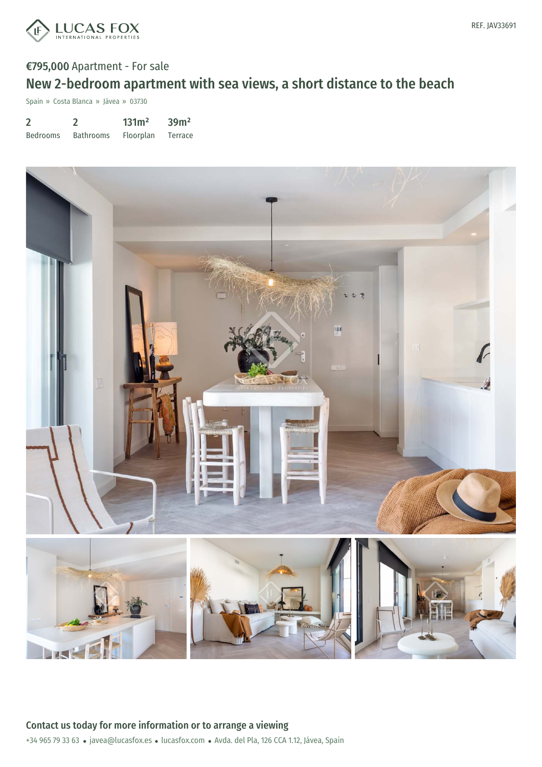

# €795,000 Apartment - For sale New 2-bedroom apartment with sea views, a short distance to the beach

Spain » Costa Blanca » Jávea » 03730

2 Bedrooms 2 Bathrooms 131m² Floorplan 39m² Terrace

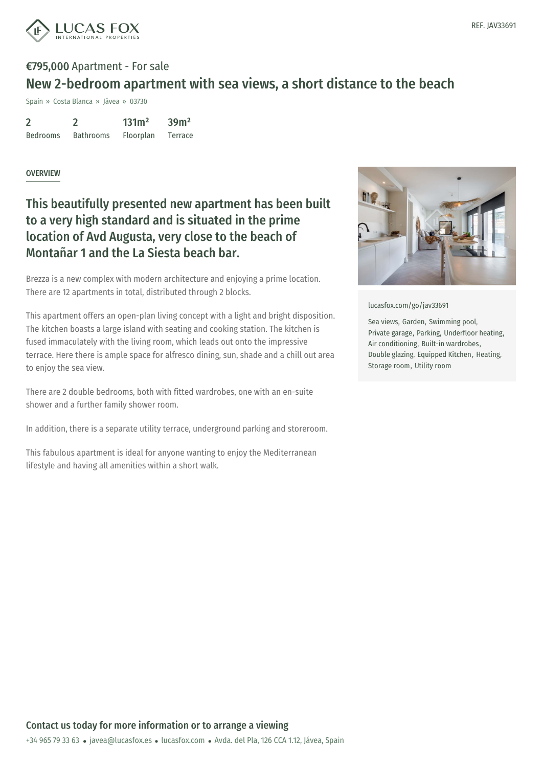

# €795,000 Apartment - For sale New 2-bedroom apartment with sea views, a short distance to the beach

Spain » Costa Blanca » Jávea » 03730

|                 |                  | 131 <sup>2</sup> | 39 <sup>m²</sup> |
|-----------------|------------------|------------------|------------------|
| <b>Bedrooms</b> | <b>Bathrooms</b> | Floorplan        | Terrace          |

#### **OVERVIEW**

## This beautifully presented new apartment has been built to a very high standard and is situated in the prime location of Avd Augusta, very close to the beach of Montañar 1 and the La Siesta beach bar.

Brezza is a new complex with modern architecture and enjoying a prime location. There are 12 apartments in total, distributed through 2 blocks.

This apartment offers an open-plan living concept with a light and bright disposition. The kitchen boasts a large island with seating and cooking station. The kitchen is fused immaculately with the living room, which leads out onto the impressive terrace. Here there is ample space for alfresco dining, sun, shade and a chill out area to enjoy the sea view.

There are 2 double bedrooms, both with fitted wardrobes, one with an en-suite shower and a further family shower room.

In addition, there is a separate utility terrace, underground parking and storeroom.

This fabulous apartment is ideal for anyone wanting to enjoy the Mediterranean lifestyle and having all amenities within a short walk.



[lucasfox.com/go/jav33691](https://www.lucasfox.com/go/jav33691)

Sea views, Garden, Swimming pool, Private garage, Parking, Underfloor heating, Air conditioning, Built-in wardrobes, Double glazing, Equipped Kitchen, Heating, Storage room, Utility room